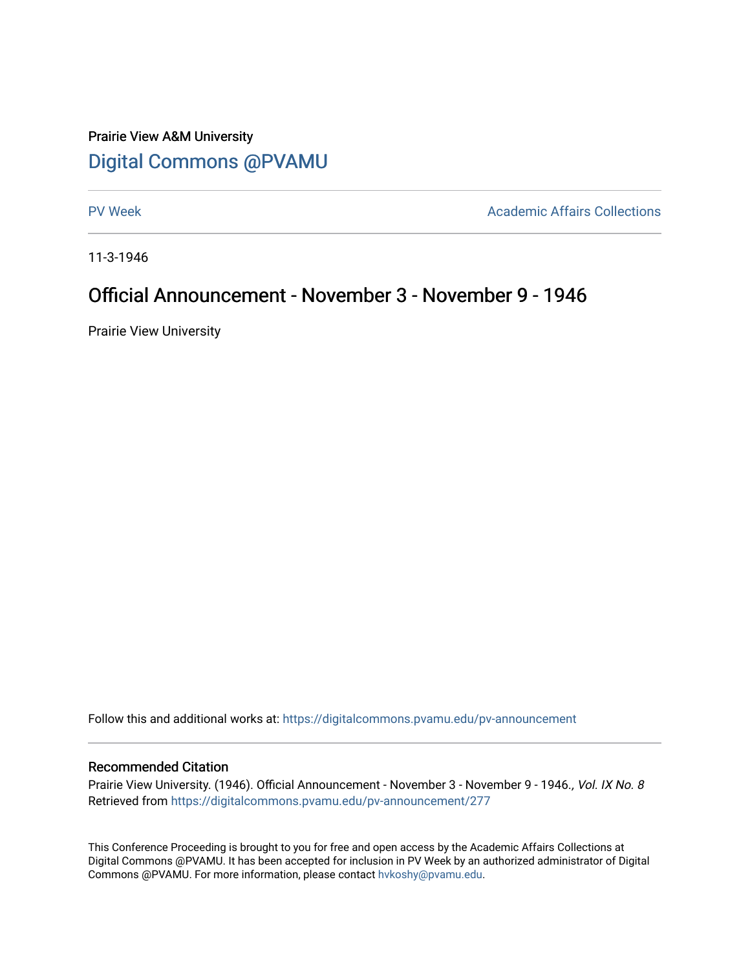### Prairie View A&M University [Digital Commons @PVAMU](https://digitalcommons.pvamu.edu/)

[PV Week](https://digitalcommons.pvamu.edu/pv-announcement) **Academic Affairs Collections** 

11-3-1946

### Official Announcement - November 3 - November 9 - 1946

Prairie View University

Follow this and additional works at: [https://digitalcommons.pvamu.edu/pv-announcement](https://digitalcommons.pvamu.edu/pv-announcement?utm_source=digitalcommons.pvamu.edu%2Fpv-announcement%2F277&utm_medium=PDF&utm_campaign=PDFCoverPages) 

#### Recommended Citation

Prairie View University. (1946). Official Announcement - November 3 - November 9 - 1946., Vol. IX No. 8 Retrieved from [https://digitalcommons.pvamu.edu/pv-announcement/277](https://digitalcommons.pvamu.edu/pv-announcement/277?utm_source=digitalcommons.pvamu.edu%2Fpv-announcement%2F277&utm_medium=PDF&utm_campaign=PDFCoverPages) 

This Conference Proceeding is brought to you for free and open access by the Academic Affairs Collections at Digital Commons @PVAMU. It has been accepted for inclusion in PV Week by an authorized administrator of Digital Commons @PVAMU. For more information, please contact [hvkoshy@pvamu.edu.](mailto:hvkoshy@pvamu.edu)